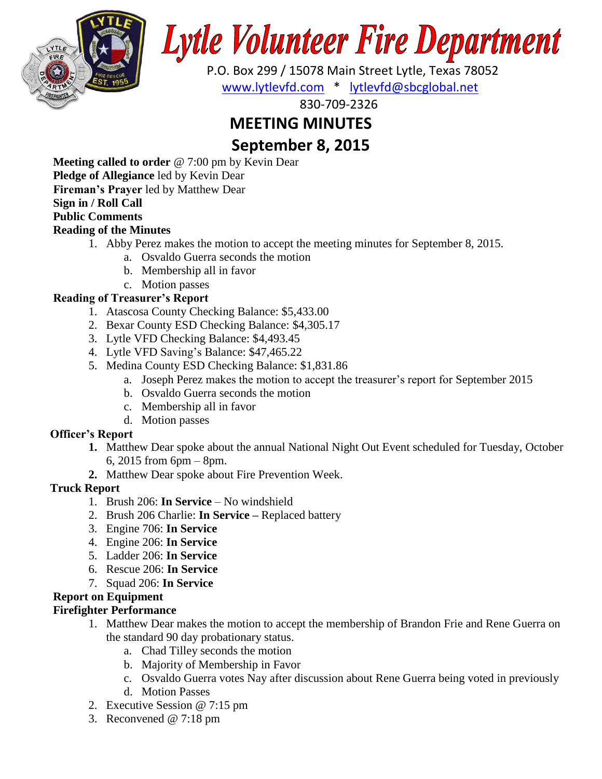

# **Lytle Volunteer Fire Department**

 P.O. Box 299 / 15078 Main Street Lytle, Texas 78052 [www.lytlevfd.com](http://www.lytlevfd.com/) \* [lytlevfd@sbcglobal.net](mailto:lytlevfd@sbcglobal.net)

830-709-2326

# **MEETING MINUTES**

**September 8, 2015**

**Meeting called to order** @ 7:00 pm by Kevin Dear **Pledge of Allegiance** led by Kevin Dear **Fireman's Prayer** led by Matthew Dear **Sign in / Roll Call Public Comments Reading of the Minutes**

- 1. Abby Perez makes the motion to accept the meeting minutes for September 8, 2015.
	- a. Osvaldo Guerra seconds the motion
	- b. Membership all in favor
	- c. Motion passes

## **Reading of Treasurer's Report**

- 1. Atascosa County Checking Balance: \$5,433.00
- 2. Bexar County ESD Checking Balance: \$4,305.17
- 3. Lytle VFD Checking Balance: \$4,493.45
- 4. Lytle VFD Saving's Balance: \$47,465.22
- 5. Medina County ESD Checking Balance: \$1,831.86
	- a. Joseph Perez makes the motion to accept the treasurer's report for September 2015
	- b. Osvaldo Guerra seconds the motion
	- c. Membership all in favor
	- d. Motion passes

## **Officer's Report**

- **1.** Matthew Dear spoke about the annual National Night Out Event scheduled for Tuesday, October 6, 2015 from 6pm – 8pm.
- **2.** Matthew Dear spoke about Fire Prevention Week.

## **Truck Report**

- 1. Brush 206: **In Service**  No windshield
- 2. Brush 206 Charlie: **In Service –** Replaced battery
- 3. Engine 706: **In Service**
- 4. Engine 206: **In Service**
- 5. Ladder 206: **In Service**
- 6. Rescue 206: **In Service**
- 7. Squad 206: **In Service**

# **Report on Equipment**

# **Firefighter Performance**

- 1. Matthew Dear makes the motion to accept the membership of Brandon Frie and Rene Guerra on the standard 90 day probationary status.
	- a. Chad Tilley seconds the motion
	- b. Majority of Membership in Favor
	- c. Osvaldo Guerra votes Nay after discussion about Rene Guerra being voted in previously
	- d. Motion Passes
- 2. Executive Session @ 7:15 pm
- 3. Reconvened @ 7:18 pm